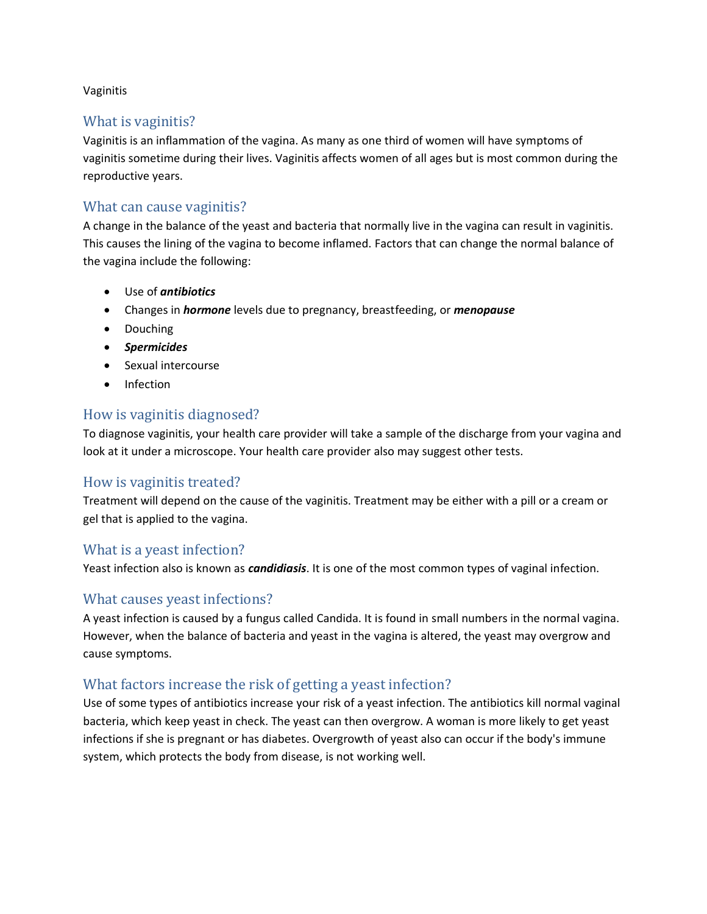#### Vaginitis

### What is vaginitis?

Vaginitis is an inflammation of the vagina. As many as one third of women will have symptoms of vaginitis sometime during their lives. Vaginitis affects women of all ages but is most common during the reproductive years.

### What can cause vaginitis?

A change in the balance of the yeast and bacteria that normally live in the vagina can result in vaginitis. This causes the lining of the vagina to become inflamed. Factors that can change the normal balance of the vagina include the following:

- Use of *antibiotics*
- Changes in *hormone* levels due to pregnancy, breastfeeding, or *menopause*
- Douching
- *Spermicides*
- Sexual intercourse
- Infection

#### How is vaginitis diagnosed?

To diagnose vaginitis, your health care provider will take a sample of the discharge from your vagina and look at it under a microscope. Your health care provider also may suggest other tests.

### How is vaginitis treated?

Treatment will depend on the cause of the vaginitis. Treatment may be either with a pill or a cream or gel that is applied to the vagina.

### What is a yeast infection?

Yeast infection also is known as *candidiasis*. It is one of the most common types of vaginal infection.

### What causes yeast infections?

A yeast infection is caused by a fungus called Candida. It is found in small numbers in the normal vagina. However, when the balance of bacteria and yeast in the vagina is altered, the yeast may overgrow and cause symptoms.

### What factors increase the risk of getting a yeast infection?

Use of some types of antibiotics increase your risk of a yeast infection. The antibiotics kill normal vaginal bacteria, which keep yeast in check. The yeast can then overgrow. A woman is more likely to get yeast infections if she is pregnant or has diabetes. Overgrowth of yeast also can occur if the body's immune system, which protects the body from disease, is not working well.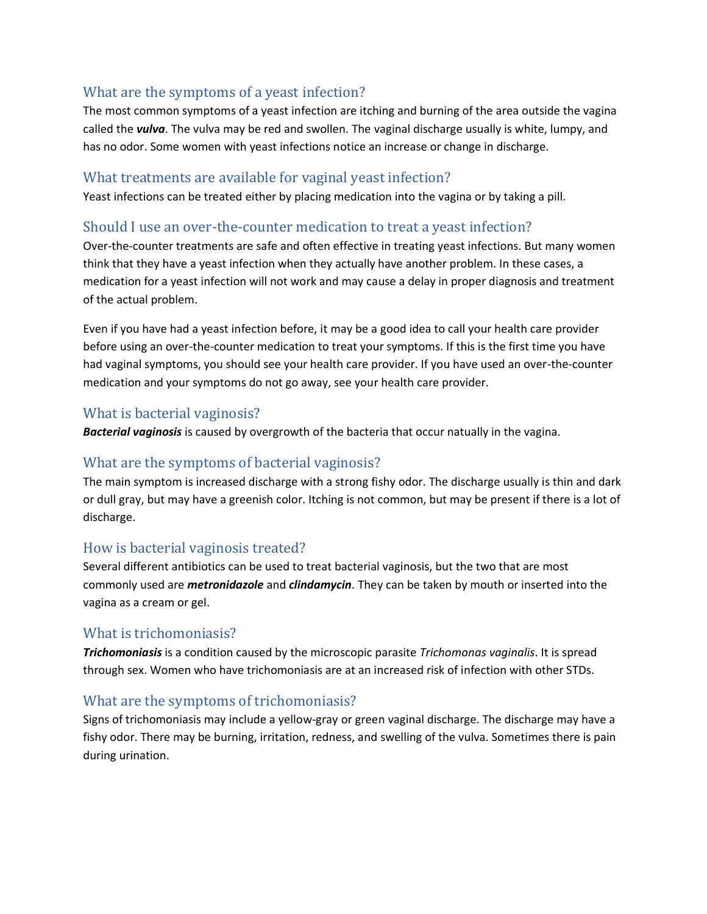# What are the symptoms of a yeast infection?

The most common symptoms of a yeast infection are itching and burning of the area outside the vagina called the *vulva*. The vulva may be red and swollen. The vaginal discharge usually is white, lumpy, and has no odor. Some women with yeast infections notice an increase or change in discharge.

### What treatments are available for vaginal yeast infection?

Yeast infections can be treated either by placing medication into the vagina or by taking a pill.

### Should I use an over-the-counter medication to treat a yeast infection?

Over-the-counter treatments are safe and often effective in treating yeast infections. But many women think that they have a yeast infection when they actually have another problem. In these cases, a medication for a yeast infection will not work and may cause a delay in proper diagnosis and treatment of the actual problem.

Even if you have had a yeast infection before, it may be a good idea to call your health care provider before using an over-the-counter medication to treat your symptoms. If this is the first time you have had vaginal symptoms, you should see your health care provider. If you have used an over-the-counter medication and your symptoms do not go away, see your health care provider.

# What is bacterial vaginosis?

*Bacterial vaginosis* is caused by overgrowth of the bacteria that occur natually in the vagina.

# What are the symptoms of bacterial vaginosis?

The main symptom is increased discharge with a strong fishy odor. The discharge usually is thin and dark or dull gray, but may have a greenish color. Itching is not common, but may be present if there is a lot of discharge.

# How is bacterial vaginosis treated?

Several different antibiotics can be used to treat bacterial vaginosis, but the two that are most commonly used are *metronidazole* and *clindamycin*. They can be taken by mouth or inserted into the vagina as a cream or gel.

### What is trichomoniasis?

*Trichomoniasis* is a condition caused by the microscopic parasite *Trichomonas vaginalis*. It is spread through sex. Women who have trichomoniasis are at an increased risk of infection with other STDs.

# What are the symptoms of trichomoniasis?

Signs of trichomoniasis may include a yellow-gray or green vaginal discharge. The discharge may have a fishy odor. There may be burning, irritation, redness, and swelling of the vulva. Sometimes there is pain during urination.